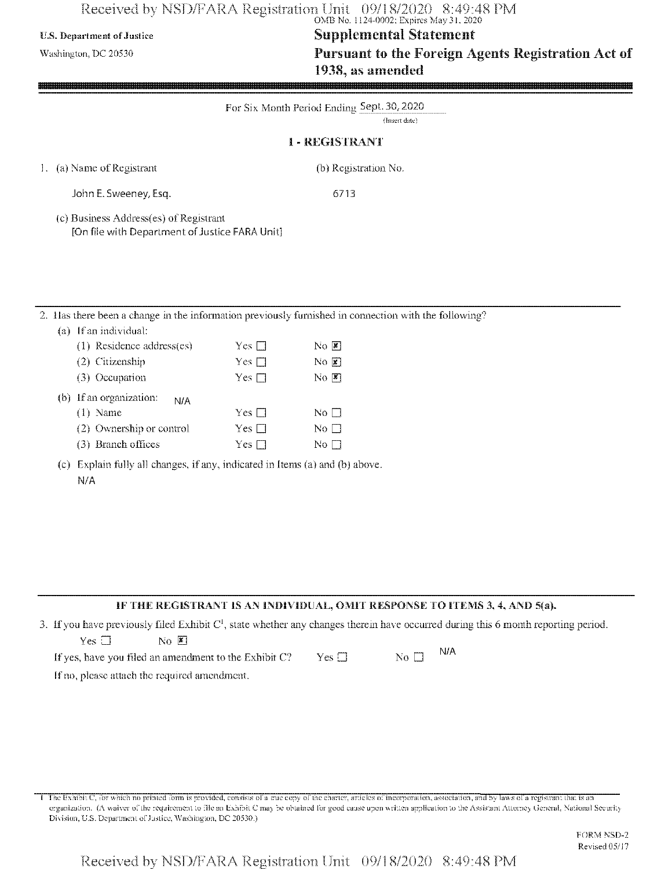# Received by NSD/FARA Registration Unit 09/18/2020 8:49:48 PM<br>
OMB No. 1124-0002; Expires May 31, 2020

# **U.S. Department ofJustice Supplemental Statement**

Washington, DC 20530 **Pursuant to the Foreign Agents Registration Act of** 1938, as amended

|    | For Six Month Period Ending Sept. 30, 2020<br>(Insert date)                              |                                                                                                                                                                                                                               |                                                                                                   |  |
|----|------------------------------------------------------------------------------------------|-------------------------------------------------------------------------------------------------------------------------------------------------------------------------------------------------------------------------------|---------------------------------------------------------------------------------------------------|--|
|    |                                                                                          |                                                                                                                                                                                                                               | <b>I-REGISTRANT</b>                                                                               |  |
|    | 1. (a) Name of Registrant                                                                |                                                                                                                                                                                                                               | (b) Registration No.                                                                              |  |
|    | John E. Sweeney, Esq.                                                                    |                                                                                                                                                                                                                               | 6713                                                                                              |  |
|    | (c) Business Address(es) of Registrant<br>[On file with Department of Justice FARA Unit] |                                                                                                                                                                                                                               |                                                                                                   |  |
|    |                                                                                          |                                                                                                                                                                                                                               |                                                                                                   |  |
|    |                                                                                          |                                                                                                                                                                                                                               |                                                                                                   |  |
| 2. | (a) If an individual:                                                                    |                                                                                                                                                                                                                               | Has there been a change in the information previously furnished in connection with the following? |  |
|    | (1) Residence address(es)                                                                | $Yes \square$                                                                                                                                                                                                                 | $\overline{N}$ O                                                                                  |  |
|    | (2) Citizenship                                                                          | $Yes \square$                                                                                                                                                                                                                 | $N$ <sup>O</sup> $\boxed{\mathbf{x}}$                                                             |  |
|    | (3) Occupation                                                                           | Yes $\square$                                                                                                                                                                                                                 | $\overline{N}$ $\overline{K}$                                                                     |  |
|    | (b) If an organization:<br>N/A                                                           |                                                                                                                                                                                                                               |                                                                                                   |  |
|    | $(1)$ Name                                                                               | Yes $\square$                                                                                                                                                                                                                 | $\rm No$ $\Box$                                                                                   |  |
|    | (2) Ownership or control                                                                 | Yes $\square$                                                                                                                                                                                                                 | $\overline{\rm No}$ $\Box$                                                                        |  |
|    | (3) Branch offices                                                                       | Yes $\square$                                                                                                                                                                                                                 | $\overline{\text{No}}$                                                                            |  |
|    | $ +$ $-$                                                                                 | the state of the state and the state of the state of the state of the state of the state of the state of the state of the state of the state of the state of the state of the state of the state of the state of the state of | $\sim$ $\sim$ $\sim$ $\sim$ $\sim$ $\sim$ $\sim$ $\sim$                                           |  |

(c) Explain fully all changes, if any, indicated in Items (a) and (b) above. N/A

### **IF THE REGISTRANT IS AN INDIVIDUAL, OMIT RESPONSE TO ITEMS 3, 4, AND 5(a).**

3. If you have previously filed Exhibit  $C<sup>1</sup>$ , state whether any changes therein have occurred during this 6 month reporting period.

| Yes □ |  | $\overline{\mathbf{N}}$ o $\overline{\mathbf{K}}$ |  |
|-------|--|---------------------------------------------------|--|

| If yes, have you filed an amendment to the Exhibit C? | $Yes \Box$ | No $\Box$ | - N/A |
|-------------------------------------------------------|------------|-----------|-------|
|-------------------------------------------------------|------------|-----------|-------|

If no, please attach the required amendment.

The Exhibit C, for which no printed form is provided, consists of a true copy of the charter, articles of incorporation, association, and by laws of a registrant that is an organization. (A waiver of the requirement to file an Exhibit C may be obtained for good cause upon written application to the Assistant Attorney General, National Security Division, U.S. Department of Justice, Washington, DC 20530.)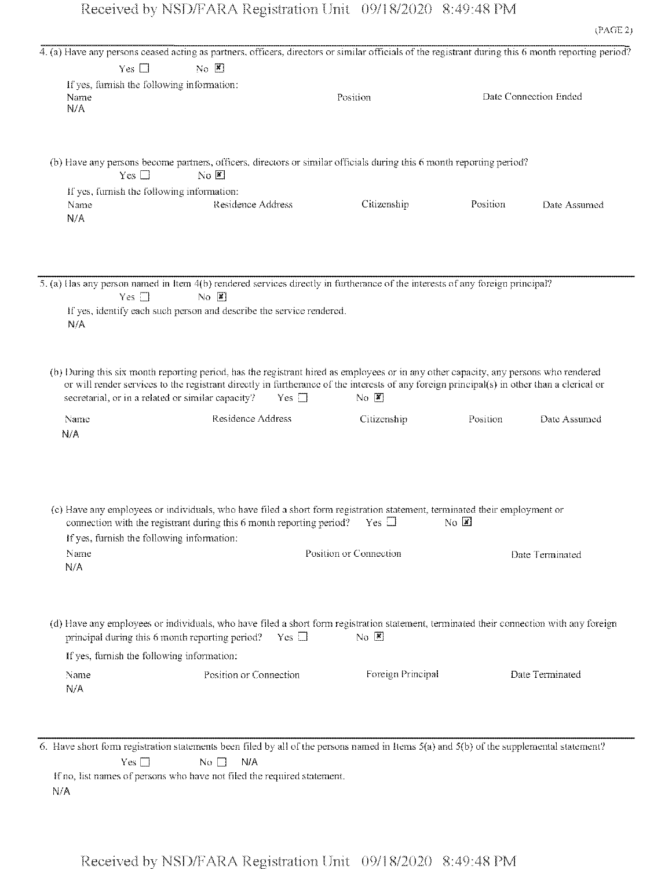|             |                                            |                                                                              | 4. (a) Have any persons ceased acting as partners, officers, directors or similar officials of the registrant during this 6 month reporting period?                                                                                                                                                                 |                               |                       |
|-------------|--------------------------------------------|------------------------------------------------------------------------------|---------------------------------------------------------------------------------------------------------------------------------------------------------------------------------------------------------------------------------------------------------------------------------------------------------------------|-------------------------------|-----------------------|
|             | Yes $\square$                              | $N_O$ $\mathbb{Z}$                                                           |                                                                                                                                                                                                                                                                                                                     |                               |                       |
| Name<br>N/A | If yes, furnish the following information: |                                                                              | Position                                                                                                                                                                                                                                                                                                            |                               | Date Connection Ended |
|             | Yes $\square$                              | $\overline{N}$ $\overline{K}$                                                | (b) Have any persons become partners, officers, directors or similar officials during this 6 month reporting period?                                                                                                                                                                                                |                               |                       |
| Name<br>N/A | If yes, furnish the following information: | Residence Address                                                            | Citizenship                                                                                                                                                                                                                                                                                                         | Position                      | Date Assumed          |
| N/A         | Yes $\square$                              | No E<br>If yes, identify each such person and describe the service rendered. | 5. (a) Has any person named in Item 4(b) rendered services directly in furtherance of the interests of any foreign principal?                                                                                                                                                                                       |                               |                       |
|             |                                            | secretarial, or in a related or similar capacity?<br>Yes $\Box$              | (b) During this six month reporting period, has the registrant hired as employees or in any other capacity, any persons who rendered<br>or will render services to the registrant directly in furtherance of the interests of any foreign principal(s) in other than a clerical or<br>$\overline{N}$ $\overline{X}$ |                               |                       |
| Name<br>N/A |                                            | Residence Address                                                            | Citizenship                                                                                                                                                                                                                                                                                                         | Position                      | Date Assumed          |
| Name<br>N/A | If yes, furnish the following information: | connection with the registrant during this 6 month reporting period?         | (c) Have any employees or individuals, who have filed a short form registration statement, terminated their employment or<br>Yes $\square$<br>Position or Connection                                                                                                                                                | $\overline{N}$ $\overline{X}$ | Date Terminated       |
|             | If yes, furnish the following information: | principal during this 6 month reporting period?<br>Yes $\square$             | (d) Have any employees or individuals, who have filed a short form registration statement, terminated their connection with any foreign<br>$No \ \boxed{\mathbb{X}}$                                                                                                                                                |                               |                       |
| Name<br>N/A |                                            | Position or Connection                                                       | Foreign Principal                                                                                                                                                                                                                                                                                                   |                               | Date Terminated       |
|             |                                            |                                                                              |                                                                                                                                                                                                                                                                                                                     |                               |                       |

6. Have short form registration statements been filed by all of the persons named in Items 5(a) and 5(b) of the supplemental statement?  $Yes \Box$  No  $N/A$ 

If no, list names of persons who have not filed the required statement. N/A

Received by NSD/FARA Registration Unit 09/18/2020 8:49:48 PM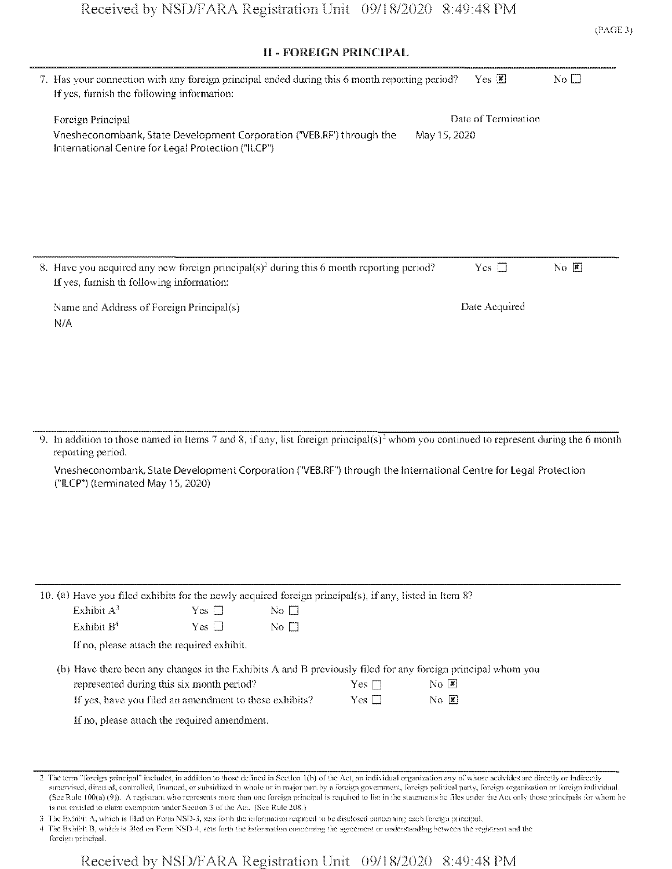### ii **- FOREIGN** PRINCIPAL

| 7. Has your connection with any foreign principal ended during this 6 month reporting period?<br>If yes, furnish the following information: |              | $Yes \n  2$         | $\overline{N}$ o $\Box$    |
|---------------------------------------------------------------------------------------------------------------------------------------------|--------------|---------------------|----------------------------|
| Foreign Principal                                                                                                                           |              | Date of Termination |                            |
| Vnesheconombank, State Development Corporation ("VEB.RF') through the<br>International Centre for Legal Protection ("ILCP")                 | May 15, 2020 |                     |                            |
|                                                                                                                                             |              |                     |                            |
|                                                                                                                                             |              |                     |                            |
|                                                                                                                                             |              |                     |                            |
| 8. Have you acquired any new foreign principal( $s$ ) <sup>2</sup> during this 6 month reporting period?                                    |              | $Yes \Box$          | $N_O$ $\boxed{\mathbf{z}}$ |
| If yes, furnish th following information:                                                                                                   |              |                     |                            |
| Name and Address of Foreign Principal(s)                                                                                                    |              | Date Acquired       |                            |
| N/A                                                                                                                                         |              |                     |                            |
|                                                                                                                                             |              |                     |                            |

9. In addition to those named in Items 7 and 8, if any, list foreign principal(s)<sup>2</sup> whom you continued to represent during the 6 month repotting period.

Vnesheconombank, State Development Corporation f'VEB.RF'1) through the International Centre for Legal Protection ("ILCP") (terminated May 15,2020)

| 10. (a) Have you filed exhibits for the newly acquired foreign principal(s), if any, listed in Item 8? |            |                                    |            |                                                                                                             |  |
|--------------------------------------------------------------------------------------------------------|------------|------------------------------------|------------|-------------------------------------------------------------------------------------------------------------|--|
| Exhibit $A^3$                                                                                          | $Yes \Box$ | No $\Box$                          |            |                                                                                                             |  |
| Exhibit $B4$                                                                                           | $Yes \Box$ | $\overline{N}$ o $\overline{\Box}$ |            |                                                                                                             |  |
| If no, please attach the required exhibit.                                                             |            |                                    |            |                                                                                                             |  |
|                                                                                                        |            |                                    |            | (b) Have there been any changes in the Exhibits A and B previously filed for any foreign principal whom you |  |
| represented during this six month period?<br>$N_0$ $\vert \mathbf{x} \vert$<br>Yes $\Box$              |            |                                    |            |                                                                                                             |  |
| If yes, have you filed an amendment to these exhibits?                                                 |            |                                    | Yes $\Box$ | $\overline{N}$ $\overline{N}$                                                                               |  |
| If no, please attach the required amendment.                                                           |            |                                    |            |                                                                                                             |  |

2 The term "foreign principal" includes, in addition to those defined in Section 1(b) of the Act, an individual organization any of whose activities are directly or indirectly supervised, directed, controlled, financed, or subsidized in whole or in major part by a foreign government, foreign political parly, foreign organization or foreign individual. (See Rule 100(a) (9)). A registrant wno represents more than one foreign principal is required to list in the statements no Hies under the Act only those principals for wnom he is not entitled to claim exemption under Section 3 of the Act. (See Rule 208.)

3 The Exhibit A, which is filed on Form NSD-3, sets forth the information required to be disclosed concerning each foreign principal.

4 The ExhibitB, wnieh is filed on Form NSD-4, sets forth the information concerning the agreement or understanding between the registrant and the foreign principal.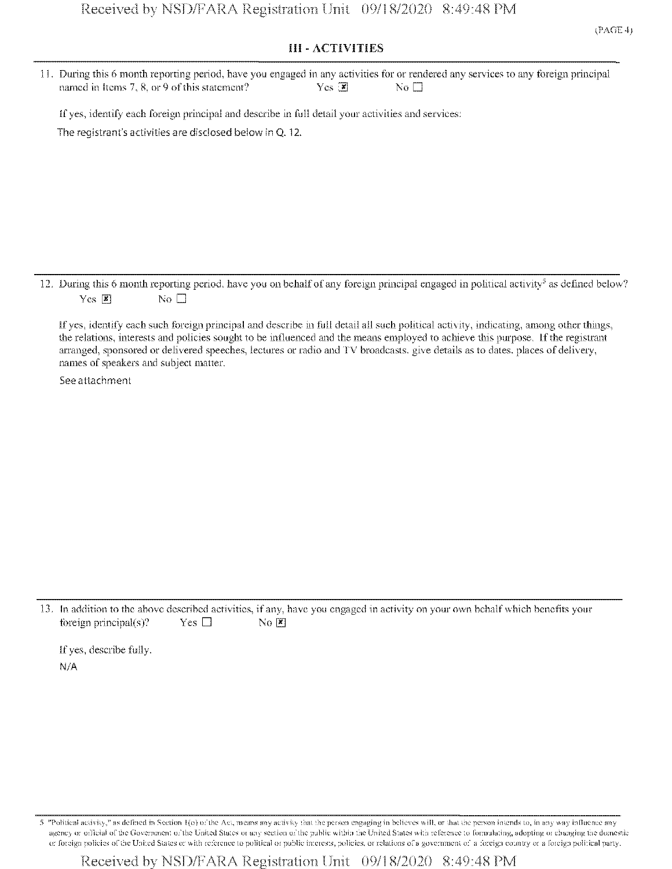### III - ACTIVITIES

| 11. During this 6 month reporting period, have you engaged in any activities for or rendered any services to any foreign principal |        |        |  |
|------------------------------------------------------------------------------------------------------------------------------------|--------|--------|--|
| named in Items 7, 8, or 9 of this statement?                                                                                       | Yes: 1 | - Noll |  |

ifyes, identify each foreign principal and describe in full detail your activities and services: The registrant's activities are disclosed below in Q. 12.

12. During this 6 month reporting period, have you on behalf of any foreign principal engaged in political activity<sup>5</sup> as defined below? Yes  $\boxed{\mathbf{x}}$  No  $\Box$ 

ifyes, identify each such foreign principal and describe in full detail all such political activity, indicating, among other things, the relations, interests and policies sought to be influenced and the means employed to achieve tins purpose. Ifthe registrant arranged, sponsored or delivered speeches, lectures or radio and TV broadcasts, give details as to dates, places of delivery, names of speakers and subject matter.

See attachment

13. !n addition to the above described activities, if any, have you engaged in activity on your own behalfwhich benefits your foreign principal(s)? Yes  $\Box$  No  $\blacksquare$ 

If yes, describe fully.  $N/A$ 

5 "Political activity," as defined in Section 1(o) of the Act, means any activity that the person engaging in believes will, or that the person intends to, in any way influence any agency or official of the Government of the United States or any section of the public within the United States with reference to formulating, adopting or changing the domestic or foreign policies of the United States or with reference to political or public interests, policies, or relations of a government of a foreign country or a foreign political party.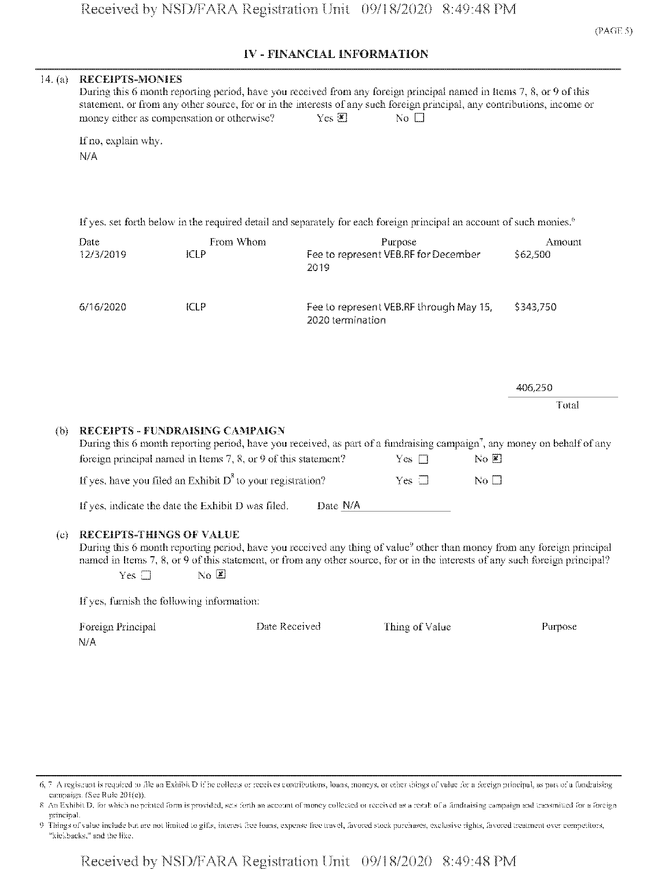## IV - **FINANCIAL** INFORMATION

|     | If no, explain why.                              | During this 6 month reporting period, have you received from any foreign principal named in Items 7, 8, or 9 of this<br>statement, or from any other source, for or in the interests of any such foreign principal, any contributions, income or<br>money either as compensation or otherwise?                   | Yes $\mathbb{Z}$ | No $\square$                                    |              |                    |
|-----|--------------------------------------------------|------------------------------------------------------------------------------------------------------------------------------------------------------------------------------------------------------------------------------------------------------------------------------------------------------------------|------------------|-------------------------------------------------|--------------|--------------------|
|     | N/A                                              |                                                                                                                                                                                                                                                                                                                  |                  |                                                 |              |                    |
|     |                                                  | If yes, set forth below in the required detail and separately for each foreign principal an account of such monies. <sup>6</sup>                                                                                                                                                                                 |                  |                                                 |              |                    |
|     | Date<br>12/3/2019                                | From Whom<br><b>ICLP</b>                                                                                                                                                                                                                                                                                         | 2019             | Purpose<br>Fee to represent VEB.RF for December |              | Amount<br>\$62,500 |
|     | 6/16/2020                                        | <b>ICLP</b>                                                                                                                                                                                                                                                                                                      | 2020 termination | Fee to represent VEB.RF through May 15,         |              | \$343,750          |
|     |                                                  |                                                                                                                                                                                                                                                                                                                  |                  |                                                 |              | 406,250<br>Total   |
| (b) |                                                  | RECEIPTS - FUNDRAISING CAMPAIGN<br>During this 6 month reporting period, have you received, as part of a fundraising campaign', any money on behalf of any<br>foreign principal named in Items 7, 8, or 9 of this statement?                                                                                     |                  | Yes $\square$                                   | $N$ O        |                    |
|     |                                                  | If yes, have you filed an Exhibit $D^8$ to your registration?                                                                                                                                                                                                                                                    |                  | Yes $\Box$                                      | No $\square$ |                    |
|     |                                                  | If yes, indicate the date the Exhibit D was filed.                                                                                                                                                                                                                                                               | Date N/A         |                                                 |              |                    |
| (c) | <b>RECEIPTS-THINGS OF VALUE</b><br>Yes $\square$ | During this 6 month reporting period, have you received any thing of value <sup>9</sup> other than money from any foreign principal<br>named in Items 7, 8, or 9 of this statement, or from any other source, for or in the interests of any such foreign principal?<br>$\overline{N}_0$ $\overline{\mathbb{Z}}$ |                  |                                                 |              |                    |
|     |                                                  | If yes, furnish the following information:                                                                                                                                                                                                                                                                       |                  |                                                 |              |                    |
|     | Foreign Principal<br>N/A                         |                                                                                                                                                                                                                                                                                                                  | Date Received    | Thing of Value                                  |              | Purpose            |

6, 7 A registrant is required to file an Exhibit D if he collects or receives contributions, loans, moneys, or other things of value for a foreign principal, as part of a fundraising carnpaign. (See Rule 201(e)).

8 An Exhibit D, for which no printed form is provided, sets forth an account of money collected or received as a result of a fundraising campaign and transmitted for a foreign principal.

9 Things of value include but are nol limited to gills, interest free loans, expense Ifee travel, favored slock purchases, exclusive rights, favored treatment over competitors, "kickbacks," and the like.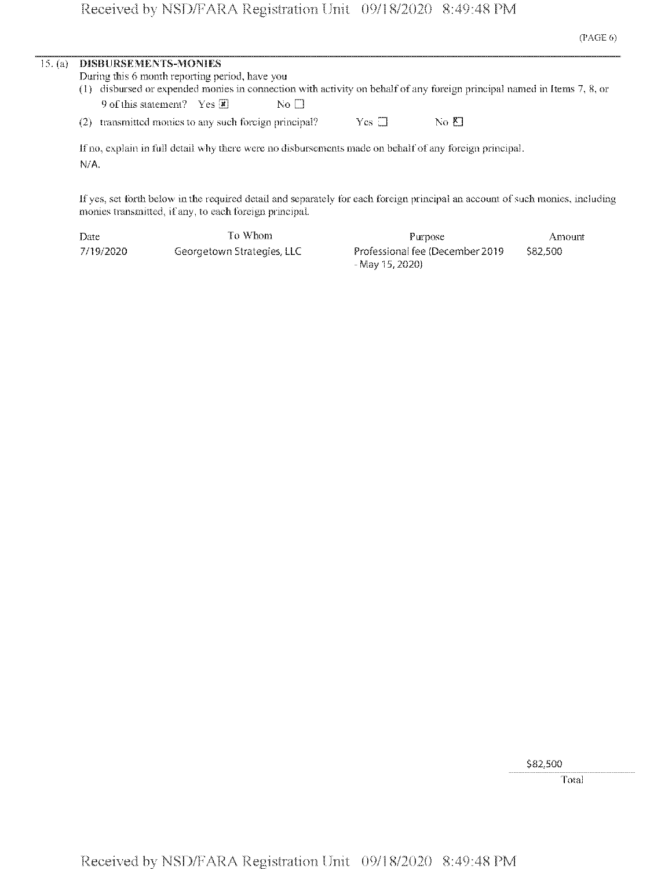| 15. (a) | <b>DISBURSEMENTS-MONIES</b><br>During this 6 month reporting period, have you<br>(1) disbursed or expended monies in connection with activity on behalf of any foreign principal named in Items 7, 8, or |  |  |  |  |  |
|---------|----------------------------------------------------------------------------------------------------------------------------------------------------------------------------------------------------------|--|--|--|--|--|
|         | 9 of this statement? Yes $\overline{\mathbf{x}}$<br>$\overline{N}$ o $\Box$                                                                                                                              |  |  |  |  |  |
|         | $Yes \Box$<br>transmitted monies to any such foreign principal?<br>$N_0$ $K$<br>(2)                                                                                                                      |  |  |  |  |  |
|         | If no, explain in full detail why there were no disbursements made on behalf of any foreign principal.<br>N/A                                                                                            |  |  |  |  |  |
|         | If yes, set forth below in the required detail and separately for each foreign principal an account of such monies, including<br>monies transmitted, if any, to each foreign principal.                  |  |  |  |  |  |

| Date      | To Whom-                   | Purpose                                              | Amount   |
|-----------|----------------------------|------------------------------------------------------|----------|
| 7/19/2020 | Georgetown Strategies, LLC | Professional fee (December 2019)<br>- Mav 15, 2020). | \$82,500 |

\$82,500

Total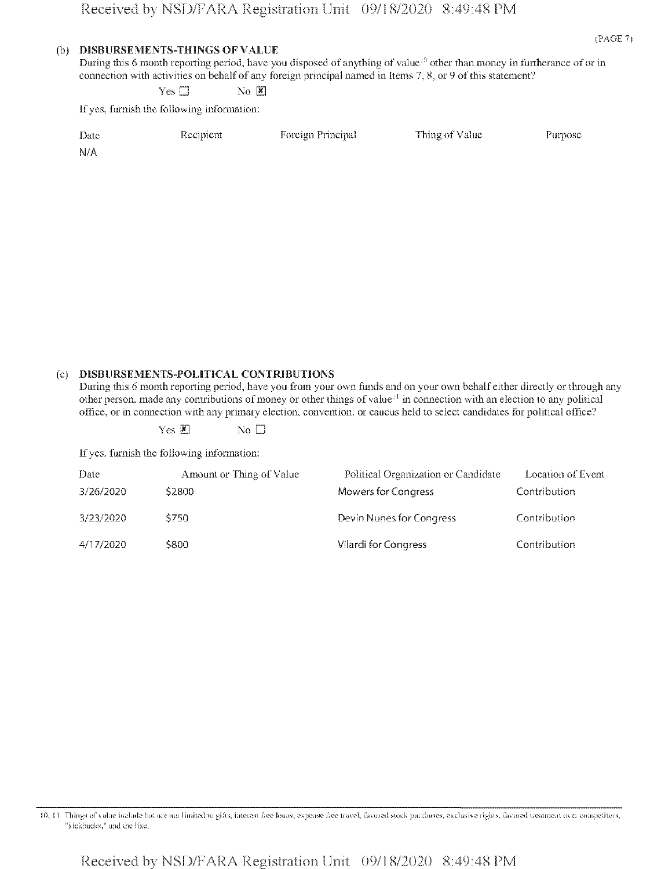#### (b) **D1SBURSEMENTS-TH1NGS** OF VALUE

During this 6 month reporting period, have you disposed of anything of value<sup>10</sup> other than money in furtherance of or in connection with activities on behalf of any foreign principal named in Items  $7, 8,$  or  $9$  of this statement?

 $Yes \Box$  No  $\boxed{\mathbb{X}}$ 

If yes, furnish the following information:

| Date | Recipient | Foreign Principal | Thing of Value | Purpose |
|------|-----------|-------------------|----------------|---------|
| -N/A |           |                   |                |         |

#### (c) **DISBURSEMENTS-POLIT1CAL** CONTRIBUTIONS

During this 6 month reporting period, have you from your own funds and on your own behalf either directly or through any other person, made any contributions of money or other things of value<sup>11</sup> in connection with an election to any political office, or in connection with any primary election, convention, or caucus held to select candidates for political office?

Yes  $\overline{\bullet}$  No  $\Box$ 

If yes, furnish the following information:

| Date      | Amount or Thing of Value | Political Organization or Candidate | Location of Event |
|-----------|--------------------------|-------------------------------------|-------------------|
| 3/26/2020 | S2800                    | Mowers for Congress                 | Contribution      |
| 3/23/2020 | 5750                     | Devin Nunes for Congress            | Contribution      |
| 4/17/2020 | S800                     | Vilardi for Congress                | Contribution      |

10. 11 Things of value include but are not limited to gifts, interest fice loans, expense fice travel, favored stock purchases, exclusive rights, favored treatment over competitors, "kickbacks," and ihc like.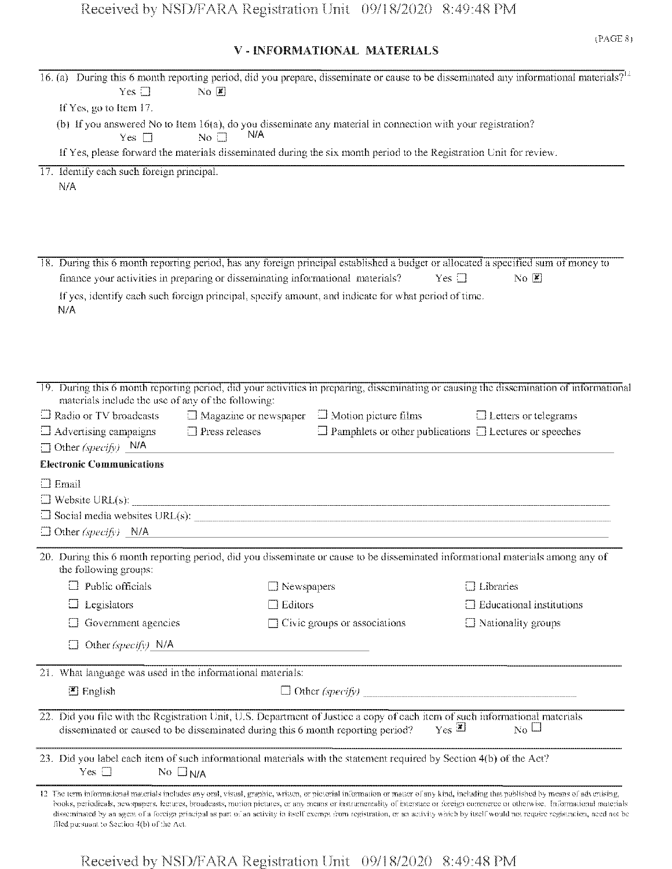# V - INFORMATIONAL MATERIALS

| Yes $\square$                                                 | $\overline{N}$ <sup><math>\alpha</math></sup>                               |                                                                                                                                                                                                                | 16. (a) During this 6 month reporting period, did you prepare, disseminate or cause to be disseminated any informational materials? <sup>12</sup>                                                                                                                                                                                                                                                                                                                                                                                                             |
|---------------------------------------------------------------|-----------------------------------------------------------------------------|----------------------------------------------------------------------------------------------------------------------------------------------------------------------------------------------------------------|---------------------------------------------------------------------------------------------------------------------------------------------------------------------------------------------------------------------------------------------------------------------------------------------------------------------------------------------------------------------------------------------------------------------------------------------------------------------------------------------------------------------------------------------------------------|
| If Yes, go to Item 17.                                        |                                                                             |                                                                                                                                                                                                                |                                                                                                                                                                                                                                                                                                                                                                                                                                                                                                                                                               |
|                                                               |                                                                             | (b) If you answered No to Item $16(a)$ , do you disseminate any material in connection with your registration?                                                                                                 |                                                                                                                                                                                                                                                                                                                                                                                                                                                                                                                                                               |
| Yes $\square$                                                 | N/A<br>No $\Box$                                                            |                                                                                                                                                                                                                |                                                                                                                                                                                                                                                                                                                                                                                                                                                                                                                                                               |
|                                                               |                                                                             | If Yes, please forward the materials disseminated during the six month period to the Registration Unit for review.                                                                                             |                                                                                                                                                                                                                                                                                                                                                                                                                                                                                                                                                               |
| 17. Identify each such foreign principal.<br>N/A              |                                                                             |                                                                                                                                                                                                                |                                                                                                                                                                                                                                                                                                                                                                                                                                                                                                                                                               |
| N/A                                                           |                                                                             | finance your activities in preparing or disseminating informational materials?<br>If yes, identify each such foreign principal, specify amount, and indicate for what period of time.                          | 18. During this 6 month reporting period, has any foreign principal established a budget or allocated a specified sum of money to<br>Yes $\square$<br>$\overline{N}$ <sup><math>\overline{K}</math></sup>                                                                                                                                                                                                                                                                                                                                                     |
| $\Box$ Radio or TV broadcasts<br>$\Box$ Advertising campaigns | materials include the use of any of the following:<br>$\Box$ Press releases | $\Box$ Magazine or newspaper $\Box$ Motion picture films                                                                                                                                                       | 19. During this 6 month reporting period, did your activities in preparing, disseminating or causing the dissemination of informational<br>$\Box$ Letters or telegrams<br>$\Box$ Pamphlets or other publications $\Box$ Lectures or speeches                                                                                                                                                                                                                                                                                                                  |
| $\Box$ Other (specify) N/A                                    |                                                                             |                                                                                                                                                                                                                |                                                                                                                                                                                                                                                                                                                                                                                                                                                                                                                                                               |
| <b>Electronic Communications</b>                              |                                                                             |                                                                                                                                                                                                                |                                                                                                                                                                                                                                                                                                                                                                                                                                                                                                                                                               |
| $\Box$ Email                                                  |                                                                             |                                                                                                                                                                                                                |                                                                                                                                                                                                                                                                                                                                                                                                                                                                                                                                                               |
|                                                               |                                                                             |                                                                                                                                                                                                                |                                                                                                                                                                                                                                                                                                                                                                                                                                                                                                                                                               |
|                                                               |                                                                             |                                                                                                                                                                                                                |                                                                                                                                                                                                                                                                                                                                                                                                                                                                                                                                                               |
| $\Box$ Other (specify) N/A                                    |                                                                             | <u> 1989 - Jan Barbara, martxa al III-lea (h. 1989).</u>                                                                                                                                                       |                                                                                                                                                                                                                                                                                                                                                                                                                                                                                                                                                               |
| the following groups:                                         |                                                                             |                                                                                                                                                                                                                | 20. During this 6 month reporting period, did you disseminate or cause to be disseminated informational materials among any of                                                                                                                                                                                                                                                                                                                                                                                                                                |
| $\Box$ Public officials                                       |                                                                             | $\Box$ Newspapers                                                                                                                                                                                              | $\Box$ Libraries                                                                                                                                                                                                                                                                                                                                                                                                                                                                                                                                              |
| Legislators                                                   |                                                                             | Editors                                                                                                                                                                                                        | $\Box$ Educational institutions                                                                                                                                                                                                                                                                                                                                                                                                                                                                                                                               |
| Government agencies                                           |                                                                             | $\Box$ Civic groups or associations                                                                                                                                                                            | $\Box$ Nationality groups                                                                                                                                                                                                                                                                                                                                                                                                                                                                                                                                     |
| Other (specify) $N/A$                                         |                                                                             |                                                                                                                                                                                                                |                                                                                                                                                                                                                                                                                                                                                                                                                                                                                                                                                               |
| 21. What language was used in the informational materials:    |                                                                             |                                                                                                                                                                                                                |                                                                                                                                                                                                                                                                                                                                                                                                                                                                                                                                                               |
| $\mathbb{Z}$ English                                          |                                                                             |                                                                                                                                                                                                                | $\Box$ Other (specify)                                                                                                                                                                                                                                                                                                                                                                                                                                                                                                                                        |
|                                                               |                                                                             |                                                                                                                                                                                                                |                                                                                                                                                                                                                                                                                                                                                                                                                                                                                                                                                               |
|                                                               |                                                                             | 22. Did you file with the Registration Unit, U.S. Department of Justice a copy of each item of such informational materials<br>disseminated or caused to be disseminated during this 6 month reporting period? | $Yes \nightharpoonup$<br>$\overline{N_0}$ $\Box$                                                                                                                                                                                                                                                                                                                                                                                                                                                                                                              |
| Yes $\Box$                                                    | No $\square_{N/A}$                                                          | 23. Did you label each item of such informational materials with the statement required by Section 4(b) of the Act?                                                                                            |                                                                                                                                                                                                                                                                                                                                                                                                                                                                                                                                                               |
| filed pursuant to Section 4(b) of the Act.                    |                                                                             |                                                                                                                                                                                                                | 12 The term informational materials includes any oral, visual, graphic, written, or pictorial information or matter of any kind, including that published by means of advertising,<br>books, periodicals, newspapers, lectures, broadcasts, motion pictures, or any means or instrumentality of interstate or foreign commerce or otherwise. Informational materials<br>disseminated by an agent of a foreign principal as part of an activity in itself exempt from registration, or an activity which by itself would not require registration, need not be |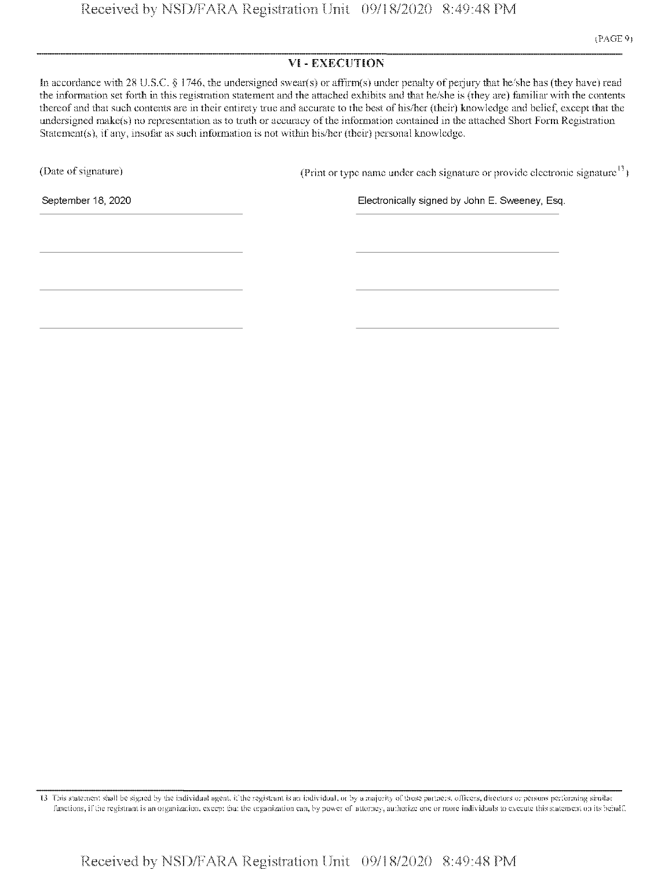### VI - EXECUTION

In accordance with 28 U.S.C. § 1746, the undersigned swear(s) or affirm(s) under penalty of perjury that he/she has (they have) read the information set forth in this registration statement and the attached exhibits and that he/she is (they are) familiar with the contents thereof and that such contents are in their entirety true and accurate to the best of his/her (their) knowledge and belief, except that the undersigned make(s) no representation as to truth or accuracy of the information contained in the attached Short Form Registration Statement(s), if any, insofar as such information is not within his/her (their) personal knowledge.

(Date of signature)  $(Print or type name under each signature or provide electronic signature<sup>13</sup>)$ 

September 18, 2020 Electronically signed by John E. Sweeney, Esq.

13 This statement shall be signed by the individual agent, if the registrant is an individual, or by a majority of those partners, officers, directors or persons performing similar functions, if the registrant is an organization, except that the organization can, by power of attorney, authorize one or more individuals to exceute this statement on its behalf.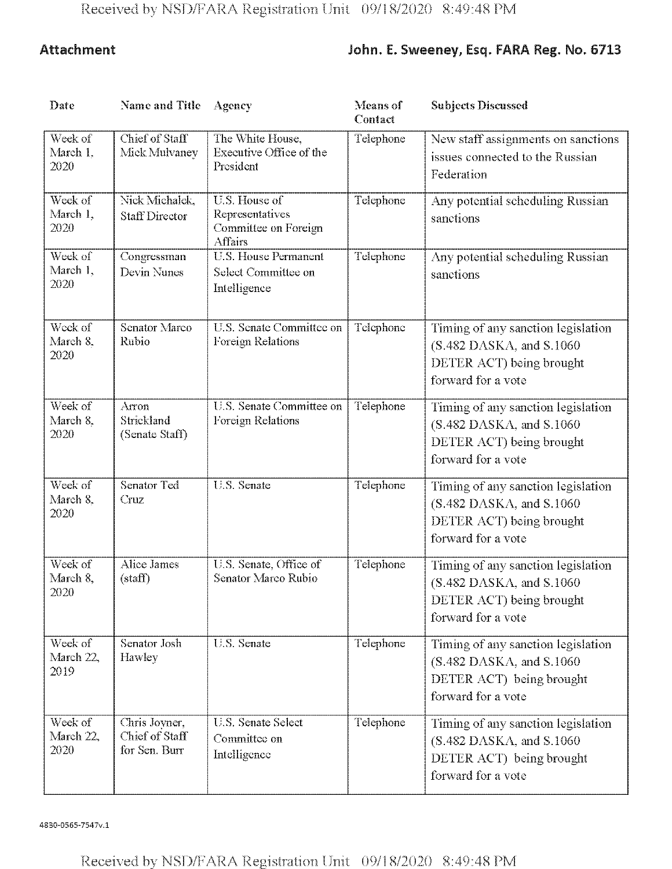# Attachment John. E. Sweeney, Esq. FARA Reg. No. 6713

| Date                         | <b>Name and Title</b>                            | Agency                                                                     | <b>Means</b> of<br>Contact | <b>Subjects Discussed</b>                                                                                          |
|------------------------------|--------------------------------------------------|----------------------------------------------------------------------------|----------------------------|--------------------------------------------------------------------------------------------------------------------|
| Week of<br>March 1.<br>2020  | Chief of Staff<br>Mick Mulvanev                  | The White House,<br>Executive Office of the<br>President                   | Telephone                  | New staff assignments on sanctions<br>issues connected to the Russian<br>Federation                                |
| Week of<br>March 1,<br>2020  | Nick Michalek,<br><b>Staff Director</b>          | U.S. House of<br>Representatives<br>Committee on Foreign<br><b>Affairs</b> | Telephone                  | Any potential scheduling Russian<br>sanctions                                                                      |
| Week of<br>March 1,<br>2020  | Congressman<br>Devin Nunes                       | <b>U.S. House Permanent</b><br>Select Committee on<br>Intelligence         | Telephone                  | Any potential scheduling Russian<br>sanctions                                                                      |
| Week of<br>March 8.<br>2020  | Senator Marco<br>Rubio                           | U.S. Senate Committee on<br>Foreign Relations                              | Telephone                  | Timing of any sanction legislation<br>$(S.482$ DASKA, and S.1060<br>DETER ACT) being brought<br>forward for a vote |
| Week of<br>March 8.<br>2020  | Arron<br>Strickland<br>(Senate Staff)            | U.S. Senate Committee on<br>Foreign Relations                              | Telephone                  | Timing of any sanction legislation<br>$(S.482$ DASKA, and S.1060<br>DETER ACT) being brought<br>forward for a vote |
| Week of<br>March 8.<br>2020  | Senator Ted<br>Cruz                              | U.S. Senate                                                                | Telephone                  | Timing of any sanction legislation<br>$(S.482$ DASKA, and S.1060<br>DETER ACT) being brought<br>forward for a vote |
| Week of<br>March 8,<br>2020  | Alice James<br>(stat)                            | U.S. Senate, Office of<br>Senator Marco Rubio                              | Telephone                  | Timing of any sanction legislation<br>(S.482 DASKA, and S.1060<br>DETER ACT) being brought<br>forward for a vote   |
| Week of<br>March 22,<br>2019 | Senator Josh<br>Hawley                           | U.S. Senate                                                                | Telephone                  | Timing of any sanction legislation<br>$(S.482$ DASKA, and S.1060<br>DETER ACT) being brought<br>forward for a vote |
| Week of<br>March 22,<br>2020 | Chris Jovner,<br>Chief of Staff<br>for Sen. Burr | <b>U.S. Senate Select</b><br>Committee on<br>Intelligence                  | Telephone                  | Timing of any sanction legislation<br>$(S.482$ DASKA, and S.1060<br>DETER ACT) being brought<br>forward for a vote |

4830-0565-7547v,l

Received by NSD/FARA Registration Unit 09/18/2020 8:49:48 PM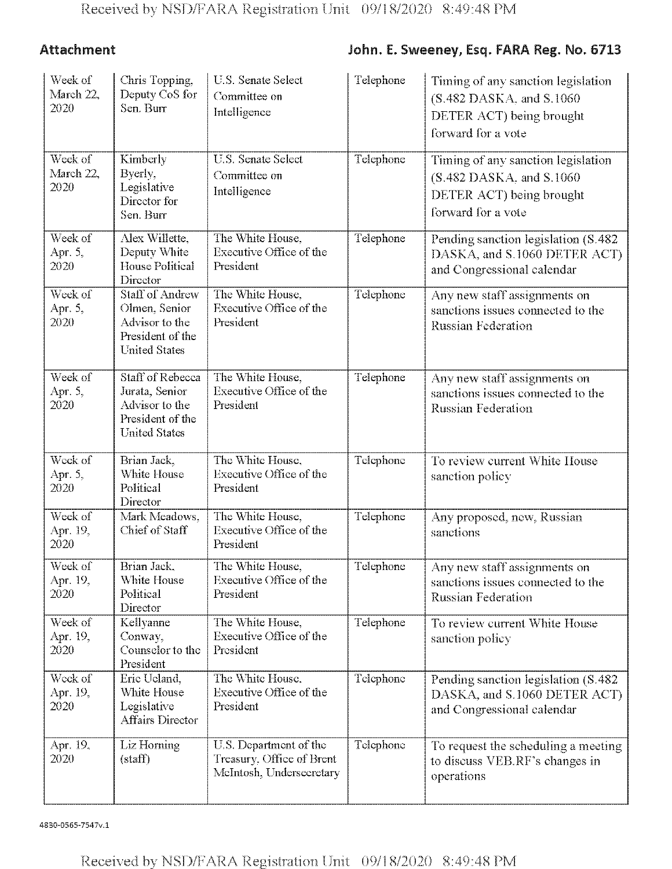# Attachment John. E. Sweeney, Esq. FARA Reg. No. 6713

| Week of<br>March 22,<br>2020                   | Chris Topping,<br>Deputy CoS for<br>Sen. Burr                                                         | U.S. Senate Select<br>Committee on<br>Intelligence                              | Telephone | Timing of any sanction legislation<br>(S.482 DASKA, and S.1060)<br>DETER ACT) being brought<br>forward for a vote |
|------------------------------------------------|-------------------------------------------------------------------------------------------------------|---------------------------------------------------------------------------------|-----------|-------------------------------------------------------------------------------------------------------------------|
| Week of<br>March 22,<br>2020                   | Kimberly<br>Byerly,<br>Legislative<br>Director for<br>Sen. Burr                                       | U.S. Senate Select<br>Committee on<br>Intelligence                              | Telephone | Timing of any sanction legislation<br>(S.482 DASKA, and S.1060)<br>DETER ACT) being brought<br>forward for a vote |
| Week of<br>Apr. 5,<br>2020                     | Alex Willette,<br>Deputy White<br><b>House Political</b><br>Director                                  | The White House,<br>Executive Office of the<br>President                        | Telephone | Pending sanction legislation (S.482)<br>DASKA, and S.1060 DETER ACT)<br>and Congressional calendar                |
| Week of<br>Apr. 5,<br>2020                     | <b>Staff of Andrew</b><br>Olmen, Senior<br>Advisor to the<br>President of the<br><b>United States</b> | The White House,<br>Executive Office of the<br>President                        | Telephone | Any new staff assignments on<br>sanctions issues connected to the<br>Russian Federation                           |
| $\overline{\text{Week of}}$<br>Apr. 5,<br>2020 | Staff of Rebecca<br>Jurata, Senior<br>Advisor to the<br>President of the<br><b>United States</b>      | The White House,<br>Executive Office of the<br>President                        | Telephone | Any new staff assignments on<br>sanctions issues connected to the<br><b>Russian Federation</b>                    |
| Week of<br>Apr. 5,<br>2020                     | Brian Jack,<br>White House<br>Political<br>Director                                                   | The White House,<br>Executive Office of the<br>President                        | Telephone | To review current White House<br>sanction policy                                                                  |
| Week of<br>Apr. 19,<br>2020                    | Mark Meadows.<br>Chief of Staff                                                                       | The White House,<br>Executive Office of the<br>President                        | Telephone | Any proposed, new, Russian<br>sanctions                                                                           |
| Week of<br>Apr. 19,<br>2020                    | Brian Jack,<br>White House<br>Political<br>Director                                                   | The White House,<br>Executive Office of the<br>President                        | Telephone | Any new staff assignments on<br>sanctions issues connected to the<br><b>Russian Federation</b>                    |
| Week of<br>Apr. 19,<br>2020                    | Kellyanne<br>Conway,<br>Counselor to the<br>President                                                 | The White House,<br>Executive Office of the<br>President                        | Telephone | To review current White House<br>sanction policy                                                                  |
| Week of<br>Apr. 19,<br>2020                    | Eric Ucland,<br>White House<br>Legislative<br><b>Affairs Director</b>                                 | The White House,<br>Executive Office of the<br>President                        | Telephone | Pending sanction legislation (S.482)<br>DASKA, and S.1060 DETER ACT)<br>and Congressional calendar                |
| Apr. 19.<br>2020                               | Liz Horning<br>(stat)                                                                                 | U.S. Department of the<br>Treasury, Office of Brent<br>McIntosh, Undersecretary | Telephone | To request the scheduling a meeting<br>to discuss VEB.RF's changes in<br>operations                               |

4830-0565-7547v,l